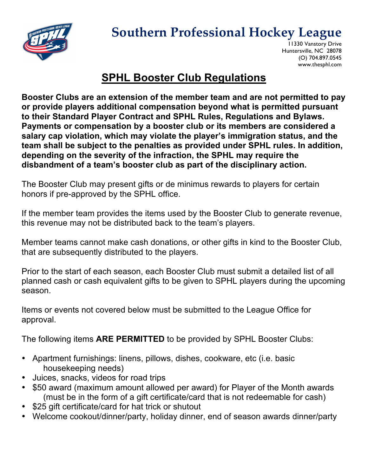

## **Southern Professional Hockey League**

11330 Vanstory Drive Huntersville, NC 28078 (O) 704.897.0545 www.thesphl.com

## **SPHL Booster Club Regulations**

**Booster Clubs are an extension of the member team and are not permitted to pay or provide players additional compensation beyond what is permitted pursuant to their Standard Player Contract and SPHL Rules, Regulations and Bylaws. Payments or compensation by a booster club or its members are considered a salary cap violation, which may violate the player's immigration status, and the team shall be subject to the penalties as provided under SPHL rules. In addition, depending on the severity of the infraction, the SPHL may require the disbandment of a team's booster club as part of the disciplinary action.**

The Booster Club may present gifts or de minimus rewards to players for certain honors if pre-approved by the SPHL office.

If the member team provides the items used by the Booster Club to generate revenue, this revenue may not be distributed back to the team's players.

Member teams cannot make cash donations, or other gifts in kind to the Booster Club, that are subsequently distributed to the players.

Prior to the start of each season, each Booster Club must submit a detailed list of all planned cash or cash equivalent gifts to be given to SPHL players during the upcoming season.

Items or events not covered below must be submitted to the League Office for approval.

The following items **ARE PERMITTED** to be provided by SPHL Booster Clubs:

- Apartment furnishings: linens, pillows, dishes, cookware, etc (i.e. basic housekeeping needs)
- Juices, snacks, videos for road trips
- \$50 award (maximum amount allowed per award) for Player of the Month awards (must be in the form of a gift certificate/card that is not redeemable for cash)
- \$25 gift certificate/card for hat trick or shutout
- Welcome cookout/dinner/party, holiday dinner, end of season awards dinner/party